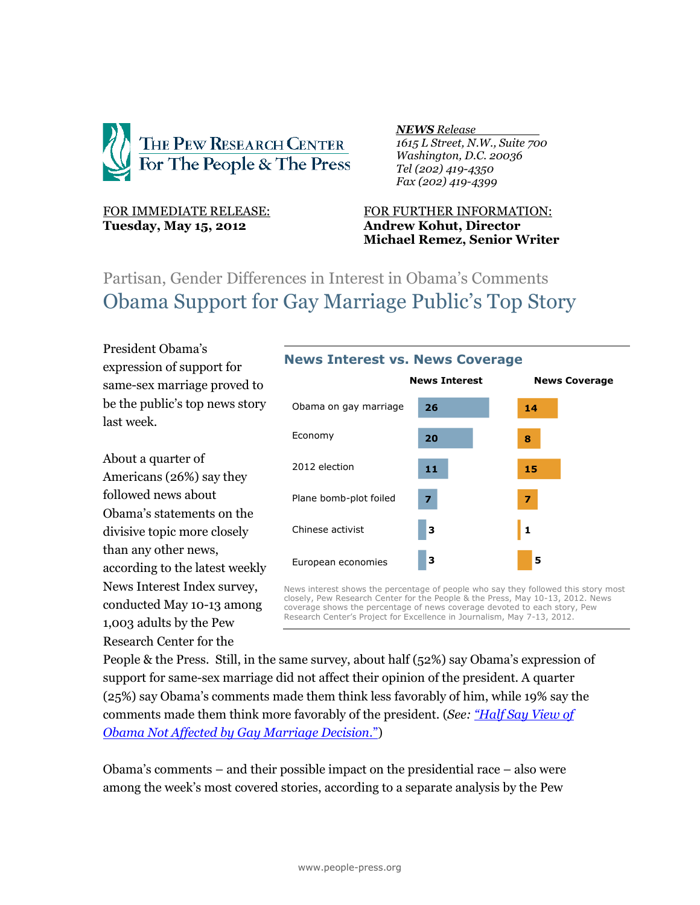

# **Tuesday, May 15, 2012 Andrew Kohut, Director**

### *NEWS Release .*

 *1615 L Street, N.W., Suite 700 Washington, D.C. 20036 Tel (202) 419-4350 Fax (202) 419-4399*

# FOR IMMEDIATE RELEASE: FOR FURTHER INFORMATION: **Michael Remez, Senior Writer**

# Partisan, Gender Differences in Interest in Obama's Comments Obama Support for Gay Marriage Public's Top Story

President Obama's expression of support for same-sex marriage proved to be the public's top news story last week.

About a quarter of Americans (26%) say they followed news about Obama's statements on the divisive topic more closely than any other news, according to the latest weekly News Interest Index survey, conducted May 10-13 among 1,003 adults by the Pew Research Center for the



News interest shows the percentage of people who say they followed this story most closely, Pew Research Center for the People & the Press, May 10-13, 2012. News coverage shows the percentage of news coverage devoted to each story, Pew Research Center's Project for Excellence in Journalism, May 7-13, 2012.

People & the Press. Still, in the same survey, about half (52%) say Obama's expression of support for same-sex marriage did not affect their opinion of the president. A quarter (25%) say Obama's comments made them think less favorably of him, while 19% say the comments made them think more favorably of the president. (*See: "[Half Say View of](http://www.people-press.org/2012/05/14/half-say-view-of-obama-not-affected-by-gay-marriage-decision/)  [Obama Not Affected by Gay Marriage Decision](http://www.people-press.org/2012/05/14/half-say-view-of-obama-not-affected-by-gay-marriage-decision/)*.")

Obama's comments – and their possible impact on the presidential race – also were among the week's most covered stories, according to a separate analysis by the Pew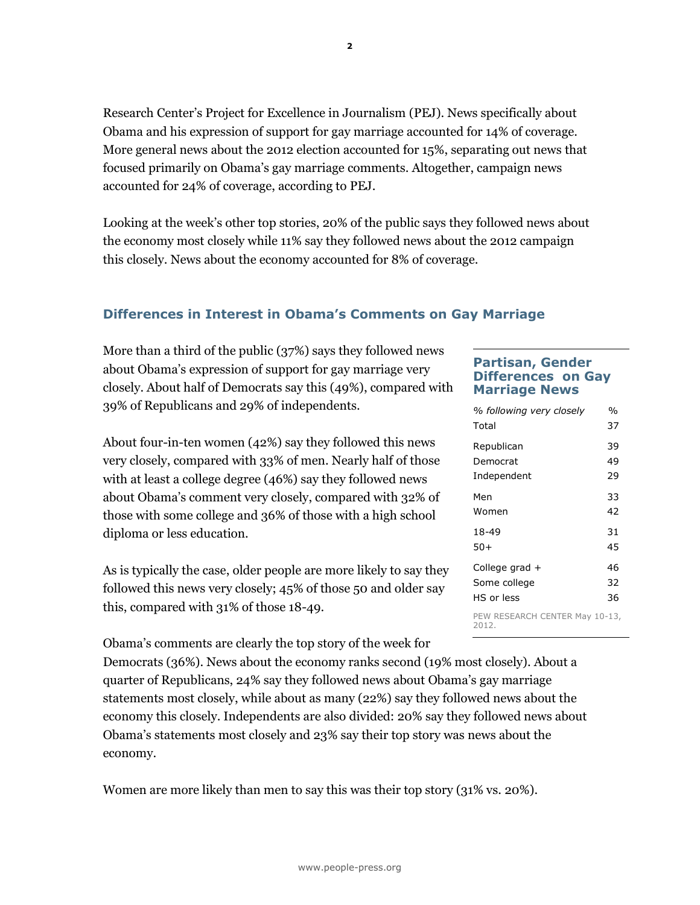Research Center's Project for Excellence in Journalism (PEJ). News specifically about Obama and his expression of support for gay marriage accounted for 14% of coverage. More general news about the 2012 election accounted for 15%, separating out news that focused primarily on Obama's gay marriage comments. Altogether, campaign news accounted for 24% of coverage, according to PEJ.

Looking at the week's other top stories, 20% of the public says they followed news about the economy most closely while 11% say they followed news about the 2012 campaign this closely. News about the economy accounted for 8% of coverage.

### **Differences in Interest in Obama's Comments on Gay Marriage**

More than a third of the public (37%) says they followed news about Obama's expression of support for gay marriage very closely. About half of Democrats say this (49%), compared with 39% of Republicans and 29% of independents.

About four-in-ten women (42%) say they followed this news very closely, compared with 33% of men. Nearly half of those with at least a college degree (46%) say they followed news about Obama's comment very closely, compared with 32% of those with some college and 36% of those with a high school diploma or less education.

As is typically the case, older people are more likely to say they followed this news very closely; 45% of those 50 and older say this, compared with 31% of those 18-49.

Obama's comments are clearly the top story of the week for

Democrats (36%). News about the economy ranks second (19% most closely). About a quarter of Republicans, 24% say they followed news about Obama's gay marriage statements most closely, while about as many (22%) say they followed news about the economy this closely. Independents are also divided: 20% say they followed news about Obama's statements most closely and 23% say their top story was news about the economy.

Women are more likely than men to say this was their top story (31% vs. 20%).

#### **Partisan, Gender Differences on Gay Marriage News**

| % following very closely                | %  |
|-----------------------------------------|----|
| Total                                   | 37 |
| Republican                              | 39 |
| Democrat                                | 49 |
| Independent                             | 29 |
| Men                                     | 33 |
| Women                                   | 42 |
| 18-49                                   | 31 |
| 50+                                     | 45 |
| College grad +                          | 46 |
| Some college                            | 32 |
| <b>HS</b> or less                       | 36 |
| PEW RESEARCH CENTER May 10-13,<br>2012. |    |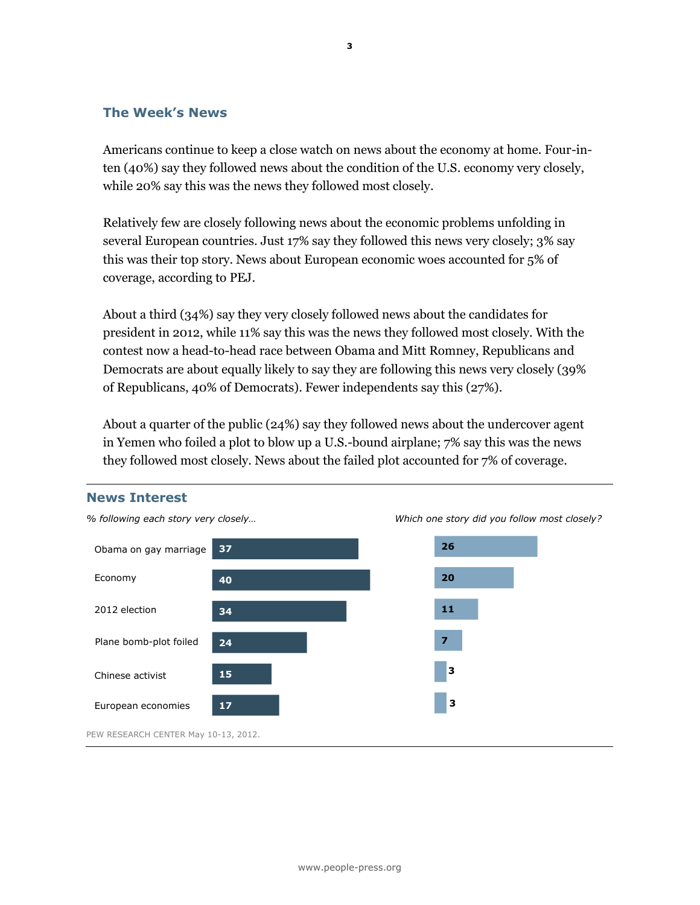#### **The Week's News**

Americans continue to keep a close watch on news about the economy at home. Four-inten (40%) say they followed news about the condition of the U.S. economy very closely, while 20% say this was the news they followed most closely.

Relatively few are closely following news about the economic problems unfolding in several European countries. Just 17% say they followed this news very closely; 3% say this was their top story. News about European economic woes accounted for 5% of coverage, according to PEJ.

About a third (34%) say they very closely followed news about the candidates for president in 2012, while 11% say this was the news they followed most closely. With the contest now a head-to-head race between Obama and Mitt Romney, Republicans and Democrats are about equally likely to say they are following this news very closely (39% of Republicans, 40% of Democrats). Fewer independents say this (27%).

About a quarter of the public (24%) say they followed news about the undercover agent in Yemen who foiled a plot to blow up a U.S.-bound airplane; 7% say this was the news they followed most closely. News about the failed plot accounted for 7% of coverage.

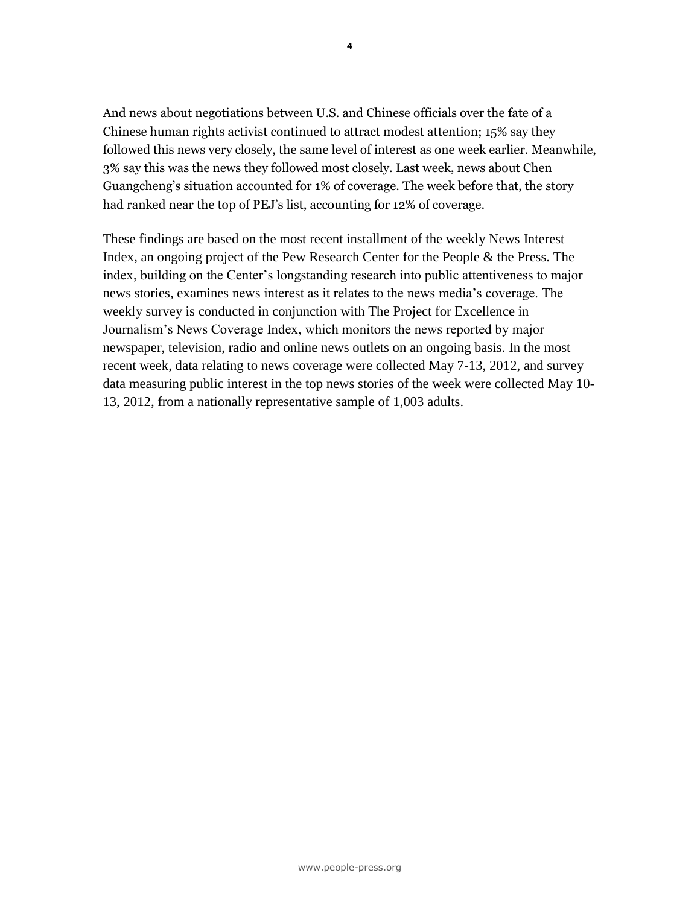And news about negotiations between U.S. and Chinese officials over the fate of a Chinese human rights activist continued to attract modest attention; 15% say they followed this news very closely, the same level of interest as one week earlier. Meanwhile, 3% say this was the news they followed most closely. Last week, news about Chen Guangcheng's situation accounted for 1% of coverage. The week before that, the story had ranked near the top of PEJ's list, accounting for 12% of coverage.

These findings are based on the most recent installment of the weekly News Interest Index, an ongoing project of the Pew Research Center for the People & the Press. The index, building on the Center's longstanding research into public attentiveness to major news stories, examines news interest as it relates to the news media's coverage. The weekly survey is conducted in conjunction with The Project for Excellence in Journalism's News Coverage Index, which monitors the news reported by major newspaper, television, radio and online news outlets on an ongoing basis. In the most recent week, data relating to news coverage were collected May 7-13, 2012, and survey data measuring public interest in the top news stories of the week were collected May 10- 13, 2012, from a nationally representative sample of 1,003 adults.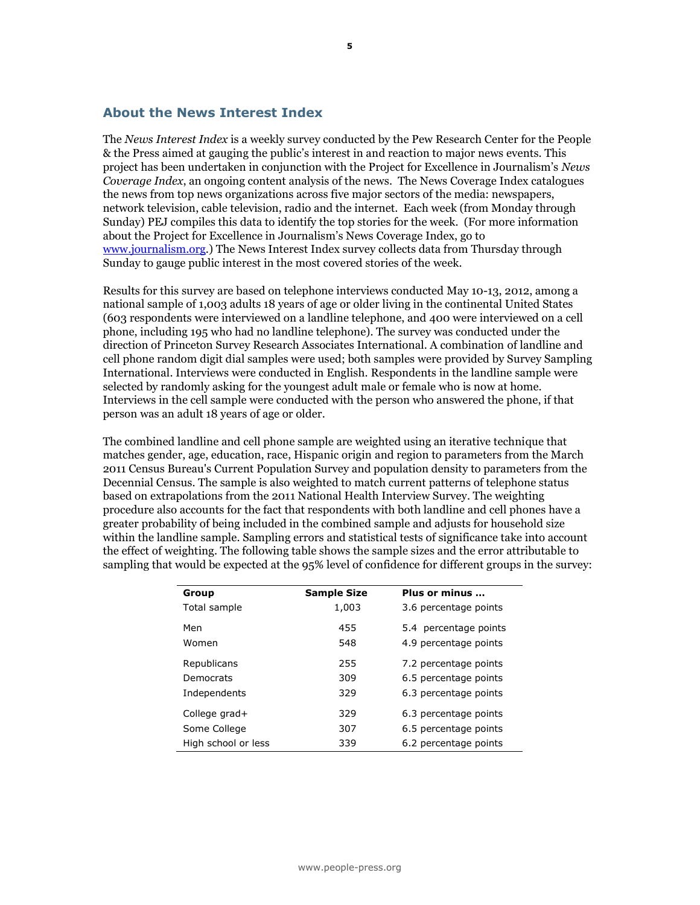#### **About the News Interest Index**

The *News Interest Index* is a weekly survey conducted by the Pew Research Center for the People & the Press aimed at gauging the public's interest in and reaction to major news events. This project has been undertaken in conjunction with the Project for Excellence in Journalism's *News Coverage Index*, an ongoing content analysis of the news. The News Coverage Index catalogues the news from top news organizations across five major sectors of the media: newspapers, network television, cable television, radio and the internet. Each week (from Monday through Sunday) PEJ compiles this data to identify the top stories for the week. (For more information about the Project for Excellence in Journalism's News Coverage Index, go to [www.journalism.org.](http://www.journalism.org/)) The News Interest Index survey collects data from Thursday through Sunday to gauge public interest in the most covered stories of the week.

Results for this survey are based on telephone interviews conducted May 10-13, 2012, among a national sample of 1,003 adults 18 years of age or older living in the continental United States (603 respondents were interviewed on a landline telephone, and 400 were interviewed on a cell phone, including 195 who had no landline telephone). The survey was conducted under the direction of Princeton Survey Research Associates International. A combination of landline and cell phone random digit dial samples were used; both samples were provided by Survey Sampling International. Interviews were conducted in English. Respondents in the landline sample were selected by randomly asking for the youngest adult male or female who is now at home. Interviews in the cell sample were conducted with the person who answered the phone, if that person was an adult 18 years of age or older.

The combined landline and cell phone sample are weighted using an iterative technique that matches gender, age, education, race, Hispanic origin and region to parameters from the March 2011 Census Bureau's Current Population Survey and population density to parameters from the Decennial Census. The sample is also weighted to match current patterns of telephone status based on extrapolations from the 2011 National Health Interview Survey. The weighting procedure also accounts for the fact that respondents with both landline and cell phones have a greater probability of being included in the combined sample and adjusts for household size within the landline sample. Sampling errors and statistical tests of significance take into account the effect of weighting. The following table shows the sample sizes and the error attributable to sampling that would be expected at the 95% level of confidence for different groups in the survey:

| Group               | <b>Sample Size</b> | Plus or minus         |
|---------------------|--------------------|-----------------------|
| Total sample        | 1,003              | 3.6 percentage points |
| Men                 | 455                | 5.4 percentage points |
| Women               | 548                | 4.9 percentage points |
| Republicans         | 255                | 7.2 percentage points |
| Democrats           | 309                | 6.5 percentage points |
| Independents        | 329                | 6.3 percentage points |
| College grad+       | 329                | 6.3 percentage points |
| Some College        | 307                | 6.5 percentage points |
| High school or less | 339                | 6.2 percentage points |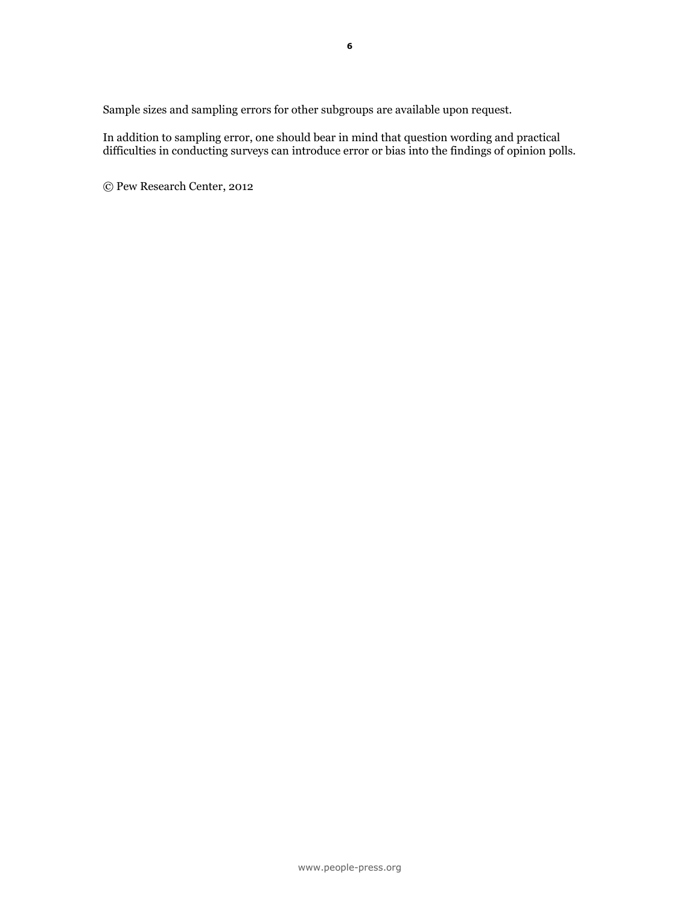Sample sizes and sampling errors for other subgroups are available upon request.

In addition to sampling error, one should bear in mind that question wording and practical difficulties in conducting surveys can introduce error or bias into the findings of opinion polls.

© Pew Research Center, 2012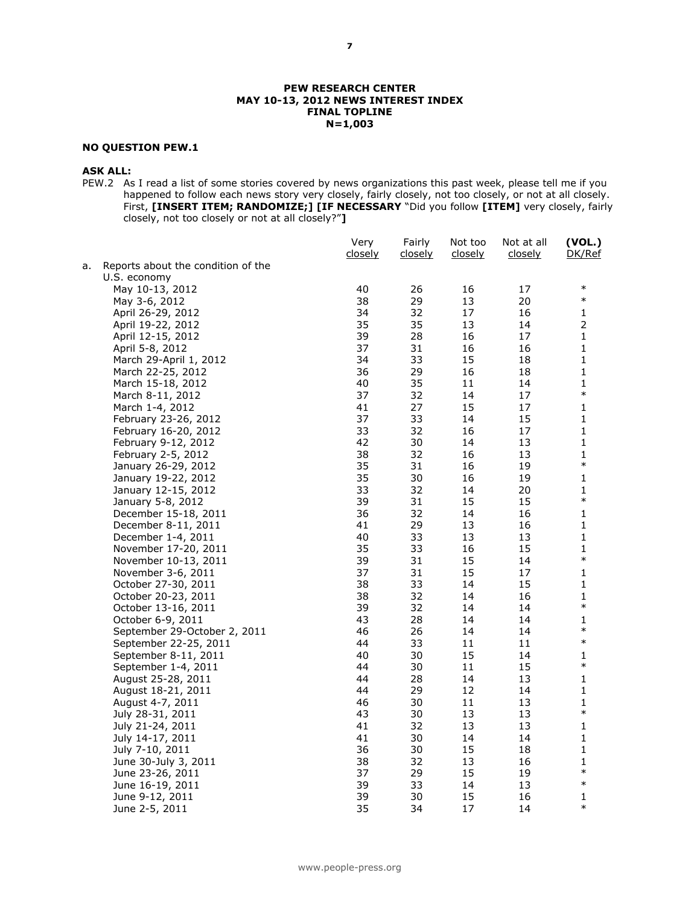#### **PEW RESEARCH CENTER MAY 10-13, 2012 NEWS INTEREST INDEX FINAL TOPLINE N=1,003**

#### **NO QUESTION PEW.1**

#### **ASK ALL:**

PEW.2 As I read a list of some stories covered by news organizations this past week, please tell me if you happened to follow each news story very closely, fairly closely, not too closely, or not at all closely. First, **[INSERT ITEM; RANDOMIZE;] [IF NECESSARY** "Did you follow **[ITEM]** very closely, fairly closely, not too closely or not at all closely?"**]**

|    |                                          | Very<br><u>closely</u> | Fairly<br>closely | Not too<br>closely | Not at all<br>closely | (VOL.)<br>DK/Ref |
|----|------------------------------------------|------------------------|-------------------|--------------------|-----------------------|------------------|
| а. | Reports about the condition of the       |                        |                   |                    |                       |                  |
|    | U.S. economy                             |                        |                   |                    |                       |                  |
|    | May 10-13, 2012                          | 40                     | 26                | 16                 | 17                    | $\ast$           |
|    | May 3-6, 2012                            | 38                     | 29                | 13                 | 20                    | $\ast$           |
|    | April 26-29, 2012                        | 34                     | 32                | 17                 | 16                    | 1                |
|    | April 19-22, 2012                        | 35                     | 35                | 13                 | 14                    | $\overline{2}$   |
|    | April 12-15, 2012                        | 39                     | 28                | 16                 | 17                    | $\mathbf{1}$     |
|    | April 5-8, 2012                          | 37                     | 31                | 16                 | 16                    | 1                |
|    | March 29-April 1, 2012                   | 34                     | 33                | 15                 | 18                    | 1                |
|    | March 22-25, 2012                        | 36                     | 29                | 16                 | 18                    | 1                |
|    | March 15-18, 2012                        | 40                     | 35                | 11                 | 14                    | 1                |
|    | March 8-11, 2012                         | 37                     | 32                | 14                 | 17                    | $\ast$           |
|    | March 1-4, 2012                          | 41                     | 27                | 15                 | 17                    | 1                |
|    | February 23-26, 2012                     | 37                     | 33                | 14                 | 15                    | 1                |
|    | February 16-20, 2012                     | 33                     | 32                | 16                 | 17                    | 1                |
|    | February 9-12, 2012                      | 42                     | 30                | 14                 | 13                    | 1                |
|    | February 2-5, 2012                       | 38                     | 32                | 16                 | 13                    | 1                |
|    | January 26-29, 2012                      | 35                     | 31                | 16                 | 19                    | $\ast$           |
|    | January 19-22, 2012                      | 35                     | 30                | 16                 | 19                    | 1                |
|    | January 12-15, 2012                      | 33                     | 32                | 14                 | 20                    | 1                |
|    | January 5-8, 2012                        | 39                     | 31                | 15                 | 15                    | $\ast$           |
|    | December 15-18, 2011                     | 36                     | 32                | 14                 | 16                    | 1                |
|    | December 8-11, 2011                      | 41                     | 29                | 13                 | 16                    | 1                |
|    | December 1-4, 2011                       | 40                     | 33                | 13                 | 13                    | 1                |
|    | November 17-20, 2011                     | 35                     | 33                | 16                 | 15                    | 1                |
|    | November 10-13, 2011                     | 39                     | 31                | 15                 | 14                    | $\ast$           |
|    | November 3-6, 2011                       | 37                     | 31                | 15                 | 17                    | 1                |
|    | October 27-30, 2011                      | 38                     | 33                | 14                 | 15                    | 1                |
|    | October 20-23, 2011                      | 38                     | 32                | 14                 | 16                    | 1                |
|    | October 13-16, 2011                      | 39                     | 32                | 14                 | 14                    | $\ast$           |
|    | October 6-9, 2011                        | 43                     | 28                | 14                 | 14                    | 1<br>$\ast$      |
|    | September 29-October 2, 2011             | 46                     | 26                | 14                 | 14                    | $\ast$           |
|    | September 22-25, 2011                    | 44                     | 33                | 11                 | 11                    |                  |
|    | September 8-11, 2011                     | 40                     | 30                | 15                 | 14                    | 1<br>$\ast$      |
|    | September 1-4, 2011                      | 44                     | 30                | 11                 | 15                    |                  |
|    | August 25-28, 2011                       | 44                     | 28                | 14                 | 13                    | 1                |
|    | August 18-21, 2011                       | 44                     | 29                | 12                 | 14                    | 1                |
|    | August 4-7, 2011                         | 46<br>43               | 30<br>30          | 11                 | 13                    | 1<br>$\ast$      |
|    | July 28-31, 2011                         |                        |                   | 13                 | 13                    |                  |
|    | July 21-24, 2011                         | 41                     | 32                | 13<br>14           | 13                    | 1                |
|    | July 14-17, 2011                         | 41                     | 30                |                    | 14                    | 1<br>1           |
|    | July 7-10, 2011                          | 36                     | 30                | 15                 | 18                    |                  |
|    | June 30-July 3, 2011<br>June 23-26, 2011 | 38<br>37               | 32<br>29          | 13<br>15           | 16<br>19              | 1<br>$\ast$      |
|    | June 16-19, 2011                         | 39                     | 33                | 14                 | 13                    | $\ast$           |
|    | June 9-12, 2011                          | 39                     | 30                | 15                 | 16                    | 1                |
|    | June 2-5, 2011                           | 35                     | 34                | 17                 |                       | $\ast$           |
|    |                                          |                        |                   |                    | 14                    |                  |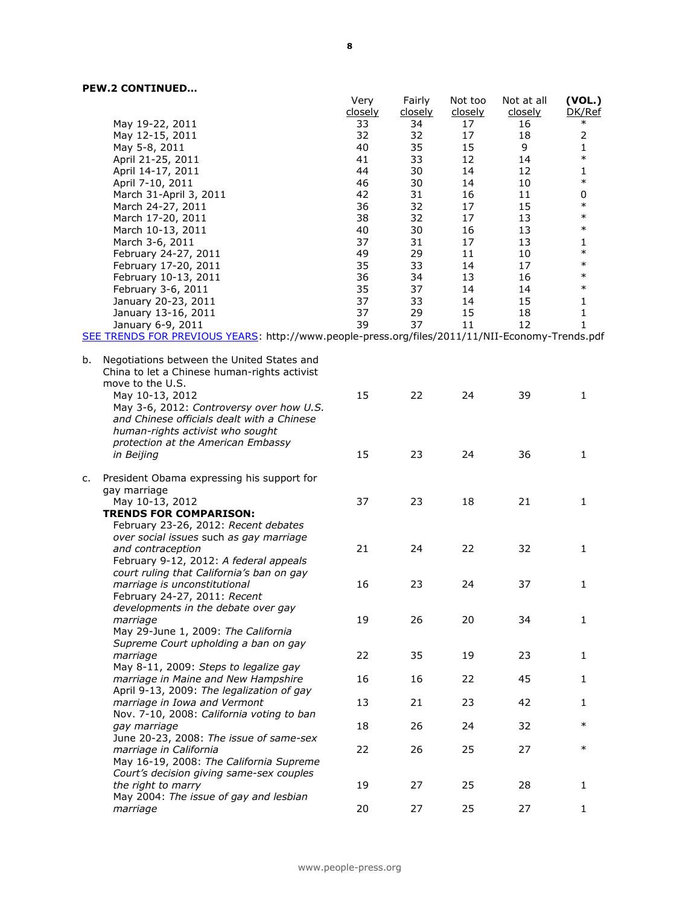|    |                                                                                                                                                                                             | Very<br><u>closely</u> | Fairly<br><u>closely</u> | Not too<br>closely | Not at all<br>closely | (VOL.)<br>DK/Ref |
|----|---------------------------------------------------------------------------------------------------------------------------------------------------------------------------------------------|------------------------|--------------------------|--------------------|-----------------------|------------------|
|    | May 19-22, 2011                                                                                                                                                                             | 33                     | 34                       | 17                 | 16                    | $\ast$           |
|    | May 12-15, 2011                                                                                                                                                                             | 32                     | 32                       | 17                 | 18                    | $\overline{2}$   |
|    | May 5-8, 2011                                                                                                                                                                               | 40                     | 35                       | 15                 | 9                     | 1                |
|    | April 21-25, 2011                                                                                                                                                                           | 41                     | 33                       | 12                 | 14                    | $\ast$           |
|    | April 14-17, 2011                                                                                                                                                                           | 44                     | 30                       | 14                 | 12                    | 1                |
|    | April 7-10, 2011                                                                                                                                                                            | 46                     | 30                       | 14                 | 10                    | $\ast$           |
|    | March 31-April 3, 2011                                                                                                                                                                      | 42                     | 31                       | 16                 | 11                    | 0                |
|    | March 24-27, 2011                                                                                                                                                                           | 36                     | 32                       | 17                 | 15                    | $\ast$           |
|    | March 17-20, 2011                                                                                                                                                                           | 38                     | 32                       | 17                 | 13                    | $\ast$           |
|    | March 10-13, 2011                                                                                                                                                                           | 40                     | 30                       | 16                 | 13                    | $\ast$           |
|    | March 3-6, 2011                                                                                                                                                                             | 37                     | 31                       | 17                 | 13                    | 1                |
|    | February 24-27, 2011                                                                                                                                                                        | 49                     | 29                       | 11                 | 10                    | $\ast$           |
|    | February 17-20, 2011                                                                                                                                                                        | 35                     | 33                       | 14                 | 17                    | $\ast$           |
|    | February 10-13, 2011                                                                                                                                                                        | 36                     | 34                       | 13                 | 16                    | $\ast$           |
|    | February 3-6, 2011                                                                                                                                                                          | 35                     | 37                       | 14                 | 14                    | $\ast$           |
|    | January 20-23, 2011                                                                                                                                                                         | 37                     | 33                       | 14                 | 15                    | 1                |
|    | January 13-16, 2011                                                                                                                                                                         | 37                     | 29                       | 15                 | 18                    | 1                |
|    | January 6-9, 2011                                                                                                                                                                           | 39                     | 37                       | 11                 | 12                    | 1                |
|    | SEE TRENDS FOR PREVIOUS YEARS: http://www.people-press.org/files/2011/11/NII-Economy-Trends.pdf                                                                                             |                        |                          |                    |                       |                  |
| b. | Negotiations between the United States and<br>China to let a Chinese human-rights activist<br>move to the U.S.<br>May 10-13, 2012<br>May 3-6, 2012: Controversy over how U.S.               | 15                     | 22                       | 24                 | 39                    | $\mathbf{1}$     |
|    | and Chinese officials dealt with a Chinese<br>human-rights activist who sought<br>protection at the American Embassy<br>in Beijing                                                          | 15                     | 23                       | 24                 | 36                    | 1                |
| c. | President Obama expressing his support for<br>gay marriage<br>May 10-13, 2012<br><b>TRENDS FOR COMPARISON:</b>                                                                              | 37                     | 23                       | 18                 | 21                    | 1                |
|    | February 23-26, 2012: Recent debates<br>over social issues such as gay marriage<br>and contraception<br>February 9-12, 2012: A federal appeals<br>court ruling that California's ban on gay | 21                     | 24                       | 22                 | 32                    | 1                |
|    | marriage is unconstitutional<br>February 24-27, 2011: Recent<br>developments in the debate over gay                                                                                         | 16                     | 23                       | 24                 | 37                    | 1                |
|    | marriage<br>May 29-June 1, 2009: The California<br>Supreme Court upholding a ban on gay                                                                                                     | 19                     | 26                       | 20                 | 34                    | 1                |
|    | marriage<br>May 8-11, 2009: Steps to legalize gay                                                                                                                                           | 22                     | 35                       | 19                 | 23                    | $\mathbf{1}$     |
|    | marriage in Maine and New Hampshire<br>April 9-13, 2009: The legalization of gay                                                                                                            | 16                     | 16                       | 22                 | 45                    | $\mathbf{1}$     |
|    | marriage in Iowa and Vermont<br>Nov. 7-10, 2008: California voting to ban                                                                                                                   | 13                     | 21                       | 23                 | 42                    | 1                |
|    | gay marriage<br>June 20-23, 2008: The issue of same-sex                                                                                                                                     | 18                     | 26                       | 24                 | 32                    | $\ast$           |
|    | marriage in California<br>May 16-19, 2008: The California Supreme<br>Court's decision giving same-sex couples                                                                               | 22                     | 26                       | 25                 | 27                    | $\ast$           |
|    | the right to marry<br>May 2004: The issue of gay and lesbian                                                                                                                                | 19                     | 27                       | 25                 | 28                    | 1                |
|    | marriage                                                                                                                                                                                    | 20                     | 27                       | 25                 | 27                    | 1                |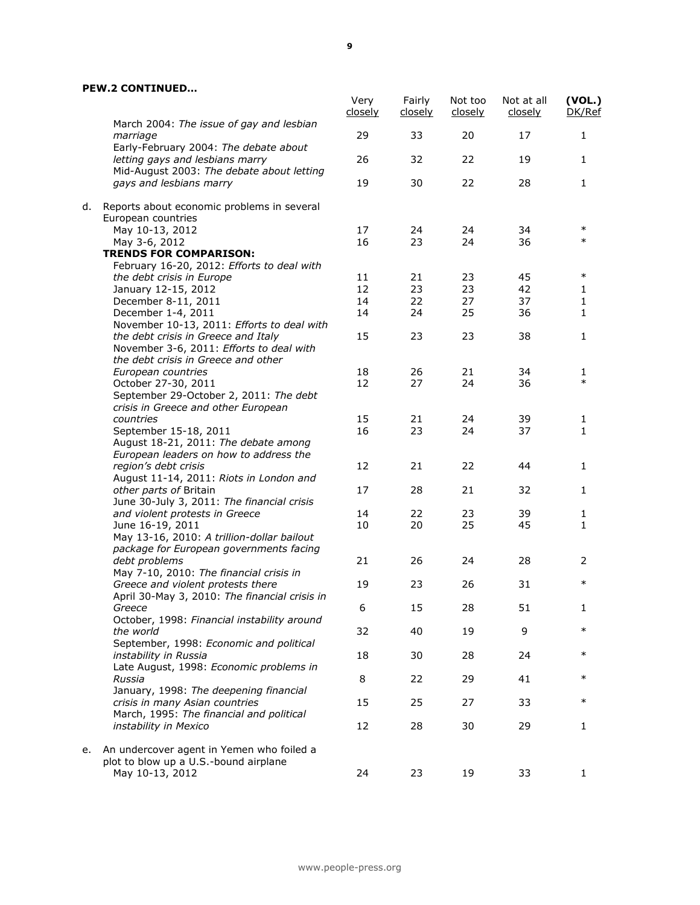|    |                                                                                               | Very<br><u>closely</u> | Fairly<br><u>closely</u> | Not too<br><u>closely</u> | Not at all<br>closely | (VOL.)<br>DK/Ref |
|----|-----------------------------------------------------------------------------------------------|------------------------|--------------------------|---------------------------|-----------------------|------------------|
|    | March 2004: The issue of gay and lesbian<br>marriage<br>Early-February 2004: The debate about | 29                     | 33                       | 20                        | 17                    | 1                |
|    | letting gays and lesbians marry<br>Mid-August 2003: The debate about letting                  | 26                     | 32                       | 22                        | 19                    | 1                |
|    | gays and lesbians marry                                                                       | 19                     | 30                       | 22                        | 28                    | 1                |
| d. | Reports about economic problems in several<br>European countries                              |                        |                          |                           |                       |                  |
|    | May 10-13, 2012                                                                               | 17                     | 24                       | 24                        | 34                    | $\ast$           |
|    | May 3-6, 2012                                                                                 | 16                     | 23                       | 24                        | 36                    | $\ast$           |
|    | <b>TRENDS FOR COMPARISON:</b>                                                                 |                        |                          |                           |                       |                  |
|    | February 16-20, 2012: Efforts to deal with                                                    |                        |                          |                           |                       |                  |
|    | the debt crisis in Europe                                                                     | 11                     | 21                       | 23                        | 45                    | $\ast$           |
|    | January 12-15, 2012                                                                           | 12                     | 23                       | 23                        | 42                    | 1                |
|    | December 8-11, 2011                                                                           | 14                     | 22                       | 27                        | 37                    | $\mathbf{1}$     |
|    | December 1-4, 2011                                                                            | 14                     | 24                       | 25                        | 36                    | 1                |
|    | November 10-13, 2011: Efforts to deal with                                                    |                        |                          |                           |                       |                  |
|    | the debt crisis in Greece and Italy                                                           | 15                     | 23                       | 23                        | 38                    | 1                |
|    | November 3-6, 2011: Efforts to deal with                                                      |                        |                          |                           |                       |                  |
|    | the debt crisis in Greece and other                                                           |                        |                          |                           |                       |                  |
|    | European countries                                                                            | 18                     | 26                       | 21                        | 34                    | 1                |
|    | October 27-30, 2011                                                                           | 12                     | 27                       | 24                        | 36                    | $\ast$           |
|    | September 29-October 2, 2011: The debt                                                        |                        |                          |                           |                       |                  |
|    | crisis in Greece and other European                                                           |                        |                          |                           |                       |                  |
|    | countries                                                                                     | 15                     | 21                       | 24                        | 39                    | 1                |
|    | September 15-18, 2011                                                                         | 16                     | 23                       | 24                        | 37                    | 1                |
|    | August 18-21, 2011: The debate among                                                          |                        |                          |                           |                       |                  |
|    | European leaders on how to address the                                                        |                        |                          |                           |                       |                  |
|    | region's debt crisis                                                                          | 12                     | 21                       | 22                        | 44                    | $\mathbf{1}$     |
|    | August 11-14, 2011: Riots in London and                                                       |                        |                          |                           |                       |                  |
|    | other parts of Britain                                                                        | 17                     | 28                       | 21                        | 32                    | 1                |
|    | June 30-July 3, 2011: The financial crisis                                                    |                        |                          |                           |                       |                  |
|    |                                                                                               | 14                     | 22                       | 23                        | 39                    |                  |
|    | and violent protests in Greece                                                                | 10                     | 20                       | 25                        | 45                    | 1<br>1           |
|    | June 16-19, 2011                                                                              |                        |                          |                           |                       |                  |
|    | May 13-16, 2010: A trillion-dollar bailout                                                    |                        |                          |                           |                       |                  |
|    | package for European governments facing                                                       |                        |                          |                           |                       |                  |
|    | debt problems                                                                                 | 21                     | 26                       | 24                        | 28                    | 2                |
|    | May 7-10, 2010: The financial crisis in                                                       |                        |                          |                           |                       | $\ast$           |
|    | Greece and violent protests there                                                             | 19                     | 23                       | 26                        | 31                    |                  |
|    | April 30-May 3, 2010: The financial crisis in                                                 |                        |                          |                           |                       |                  |
|    | Greece                                                                                        | 6                      | 15                       | 28                        | 51                    | 1.               |
|    | October, 1998: Financial instability around                                                   |                        |                          |                           |                       |                  |
|    | the world                                                                                     | 32                     | 40                       | 19                        | 9                     | $\ast$           |
|    | September, 1998: Economic and political                                                       |                        |                          |                           |                       |                  |
|    | instability in Russia                                                                         | 18                     | 30                       | 28                        | 24                    | $\ast$           |
|    | Late August, 1998: Economic problems in                                                       |                        |                          |                           |                       |                  |
|    | Russia                                                                                        | 8                      | 22                       | 29                        | 41                    | $\ast$           |
|    | January, 1998: The deepening financial                                                        |                        |                          |                           |                       |                  |
|    | crisis in many Asian countries                                                                | 15                     | 25                       | 27                        | 33                    | $\ast$           |
|    | March, 1995: The financial and political                                                      |                        |                          |                           |                       |                  |
|    | instability in Mexico                                                                         | 12                     | 28                       | 30                        | 29                    | 1                |
|    |                                                                                               |                        |                          |                           |                       |                  |
| е. | An undercover agent in Yemen who foiled a                                                     |                        |                          |                           |                       |                  |
|    | plot to blow up a U.S.-bound airplane                                                         |                        |                          |                           |                       |                  |
|    | May 10-13, 2012                                                                               | 24                     | 23                       | 19                        | 33                    | 1                |
|    |                                                                                               |                        |                          |                           |                       |                  |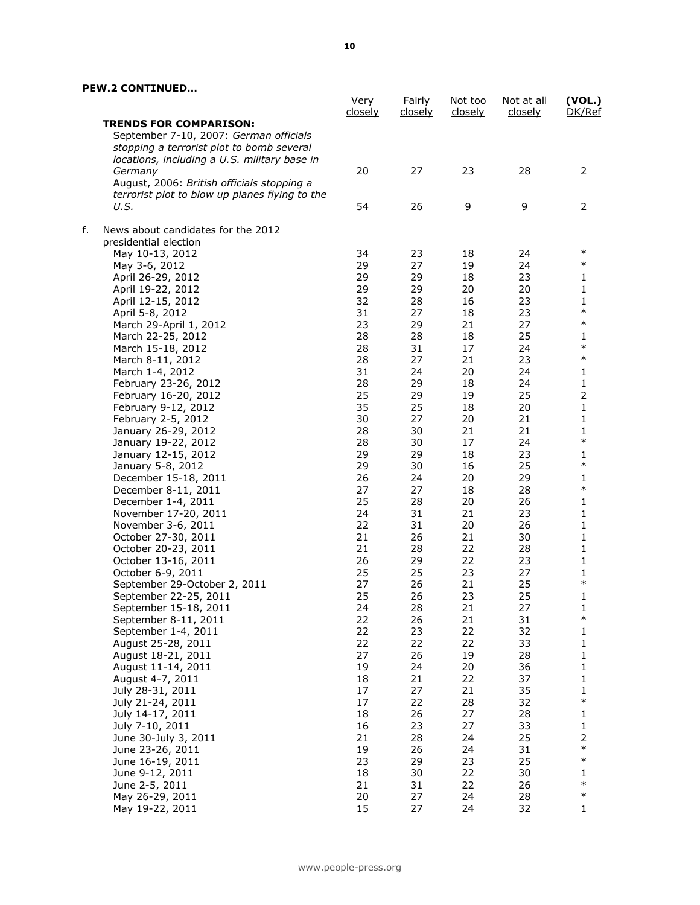|    |                                                | Very<br><u>closely</u> | Fairly<br><u>closely</u> | Not too<br><u>closely</u> | Not at all<br><u>closely</u> | (VOL.)<br>DK/Ref           |
|----|------------------------------------------------|------------------------|--------------------------|---------------------------|------------------------------|----------------------------|
|    | <b>TRENDS FOR COMPARISON:</b>                  |                        |                          |                           |                              |                            |
|    | September 7-10, 2007: German officials         |                        |                          |                           |                              |                            |
|    | stopping a terrorist plot to bomb several      |                        |                          |                           |                              |                            |
|    | locations, including a U.S. military base in   |                        |                          |                           |                              |                            |
|    | Germany                                        | 20                     | 27                       | 23                        | 28                           | 2                          |
|    | August, 2006: British officials stopping a     |                        |                          |                           |                              |                            |
|    | terrorist plot to blow up planes flying to the |                        |                          |                           |                              |                            |
|    | U.S.                                           | 54                     | 26                       | 9                         | 9                            | 2                          |
| f. | News about candidates for the 2012             |                        |                          |                           |                              |                            |
|    | presidential election                          |                        |                          |                           |                              |                            |
|    | May 10-13, 2012                                | 34                     | 23                       | 18                        | 24                           | $\ast$                     |
|    | May 3-6, 2012                                  | 29                     | 27                       | 19                        | 24                           | $\ast$                     |
|    | April 26-29, 2012                              | 29                     | 29                       | 18                        | 23                           | 1                          |
|    | April 19-22, 2012                              | 29                     | 29                       | 20                        | 20                           | $\mathbf 1$                |
|    | April 12-15, 2012                              | 32                     | 28                       | 16                        | 23                           | 1                          |
|    | April 5-8, 2012                                | 31                     | 27                       | 18                        | 23                           | $\ast$                     |
|    | March 29-April 1, 2012                         | 23                     | 29                       | 21                        | 27                           | $\ast$                     |
|    | March 22-25, 2012                              | 28                     | 28                       | 18                        | 25                           | $\mathbf{1}$               |
|    | March 15-18, 2012                              | 28                     | 31                       | 17                        | 24                           | $\ast$                     |
|    | March 8-11, 2012                               | 28                     | 27                       | 21                        | 23                           | $\ast$                     |
|    | March 1-4, 2012                                | 31                     | 24                       | 20                        | 24                           | $\mathbf{1}$               |
|    | February 23-26, 2012                           | 28                     | 29                       | 18                        | 24                           | $\mathbf 1$                |
|    | February 16-20, 2012                           | 25                     | 29                       | 19                        | 25                           | $\overline{2}$             |
|    | February 9-12, 2012                            | 35                     | 25                       | 18                        | 20                           | $\mathbf 1$                |
|    | February 2-5, 2012                             | 30<br>28               | 27                       | 20                        | 21<br>21                     | $\mathbf 1$<br>$\mathbf 1$ |
|    | January 26-29, 2012                            | 28                     | 30<br>30                 | 21<br>17                  | 24                           | $\ast$                     |
|    | January 19-22, 2012<br>January 12-15, 2012     | 29                     | 29                       | 18                        | 23                           | $\mathbf 1$                |
|    | January 5-8, 2012                              | 29                     | 30                       | 16                        | 25                           | $\ast$                     |
|    | December 15-18, 2011                           | 26                     | 24                       | 20                        | 29                           | 1                          |
|    | December 8-11, 2011                            | 27                     | 27                       | 18                        | 28                           | $\ast$                     |
|    | December 1-4, 2011                             | 25                     | 28                       | 20                        | 26                           | $\mathbf{1}$               |
|    | November 17-20, 2011                           | 24                     | 31                       | 21                        | 23                           | $\mathbf 1$                |
|    | November 3-6, 2011                             | 22                     | 31                       | 20                        | 26                           | 1                          |
|    | October 27-30, 2011                            | 21                     | 26                       | 21                        | 30                           | $\mathbf 1$                |
|    | October 20-23, 2011                            | 21                     | 28                       | 22                        | 28                           | $\mathbf 1$                |
|    | October 13-16, 2011                            | 26                     | 29                       | 22                        | 23                           | $\mathbf{1}$               |
|    | October 6-9, 2011                              | 25                     | 25                       | 23                        | 27                           | 1                          |
|    | September 29-October 2, 2011                   | 27                     | 26                       | 21                        | 25                           | $\ast$                     |
|    | September 22-25, 2011                          | 25                     | 26                       | 23                        | 25                           | $\mathbf 1$                |
|    | September 15-18, 2011                          | 24                     | 28                       | 21                        | 27                           | 1                          |
|    | September 8-11, 2011                           | 22                     | 26                       | 21                        | 31                           | $\ast$                     |
|    | September 1-4, 2011                            | 22                     | 23                       | 22                        | 32                           | 1                          |
|    | August 25-28, 2011                             | 22                     | 22                       | 22                        | 33                           | $\mathbf{1}$               |
|    | August 18-21, 2011                             | 27                     | 26                       | 19                        | 28                           | $\mathbf{1}$               |
|    | August 11-14, 2011                             | 19                     | 24                       | 20                        | 36                           | $\mathbf{1}$               |
|    | August 4-7, 2011                               | 18                     | 21                       | 22                        | 37                           | 1                          |
|    | July 28-31, 2011                               | 17                     | 27                       | 21                        | 35                           | 1                          |
|    | July 21-24, 2011                               | 17                     | 22                       | 28                        | 32                           | $\ast$                     |
|    | July 14-17, 2011                               | 18                     | 26                       | 27                        | 28                           | $\mathbf{1}$               |
|    | July 7-10, 2011                                | 16                     | 23                       | 27                        | 33                           | $\mathbf{1}$               |
|    | June 30-July 3, 2011                           | 21                     | 28                       | 24                        | 25                           | $\overline{2}$             |
|    | June 23-26, 2011                               | 19                     | 26                       | 24                        | 31                           | $\ast$                     |
|    | June 16-19, 2011                               | 23                     | 29                       | 23                        | 25                           | $\ast$                     |
|    | June 9-12, 2011                                | 18                     | 30                       | 22                        | 30                           | 1                          |
|    | June 2-5, 2011                                 | 21                     | 31                       | 22                        | 26                           | $\ast$                     |
|    | May 26-29, 2011                                | 20                     | 27                       | 24                        | 28                           | $\ast$                     |
|    | May 19-22, 2011                                | 15                     | 27                       | 24                        | 32                           | 1                          |